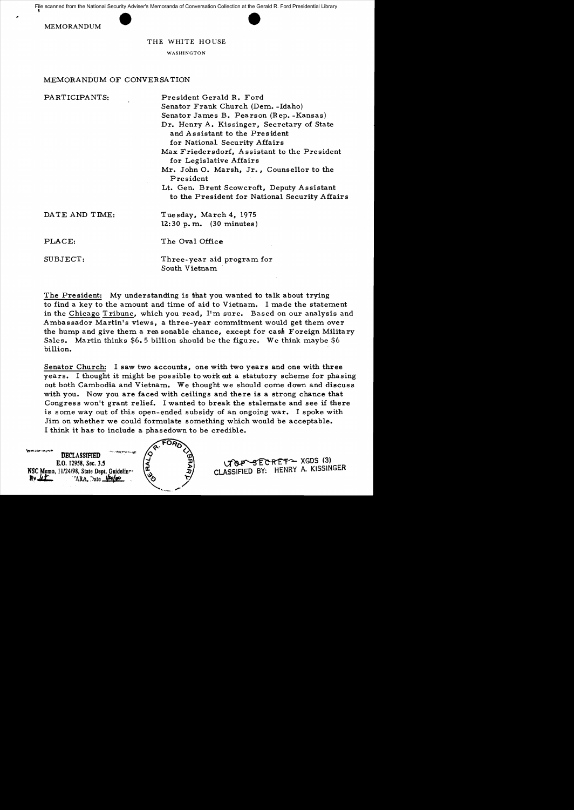File scanned from the National Security Adviser's Memoranda of Conversation Collection at the Gerald R. Ford Presidential Library





THE WHITE HOUSE

WASHINGTON

## MEMORANDUM OF CONVERSA TION

| PARTICIPANTS:  | President Gerald R. Ford<br>Senator Frank Church (Dem. - Idaho)<br>Senator James B. Pearson (Rep. - Kansas)<br>Dr. Henry A. Kissinger, Secretary of State<br>and Assistant to the President<br>for National Security Affairs<br>Max Friedersdorf, Assistant to the President<br>for Legislative Affairs<br>Mr. John O. Marsh, Jr., Counsellor to the<br>President<br>Lt. Gen. Brent Scowcroft, Deputy Assistant<br>to the President for National Security Affairs |
|----------------|-------------------------------------------------------------------------------------------------------------------------------------------------------------------------------------------------------------------------------------------------------------------------------------------------------------------------------------------------------------------------------------------------------------------------------------------------------------------|
| DATE AND TIME: | Tuesday, March 4, 1975<br>$12:30 p.m.$ (30 minutes)                                                                                                                                                                                                                                                                                                                                                                                                               |
| PLACE:         | The Oval Office                                                                                                                                                                                                                                                                                                                                                                                                                                                   |
| SUBJECT:       | Three-year aid program for<br>South Vietnam                                                                                                                                                                                                                                                                                                                                                                                                                       |

The President: My understanding is that you wanted to talk about trying to find a key to the amount and time of aid to Vietnam. I made the statement in the Chicago Tribune, which you read, I'm sure. Based on our analysis and Ambassador Martin's views, a three-year commitment would get them over the hump and give them a rea sonable chance, except for cash Foreign Military Sales. Martin thinks  $$6.5$  billion should be the figure. We think maybe  $$6$ billion.

Senator Church: I saw two accounts, one with two years and one with three years. I thought it might be possible to work out a statutory scheme for phasing out both Cambodia and Vietnam. We thought we should come down and discuss with you. Now you are faced with ceilings and there is a strong chance that Congress won't grant relief. I wanted to break the stalemate and see if there is some way out of this open-ended subsidy of an ongoing war. I spoke with Jim on whether we could formulate something which would be acceptable. I think it has' to include a phasedown to be credible.



1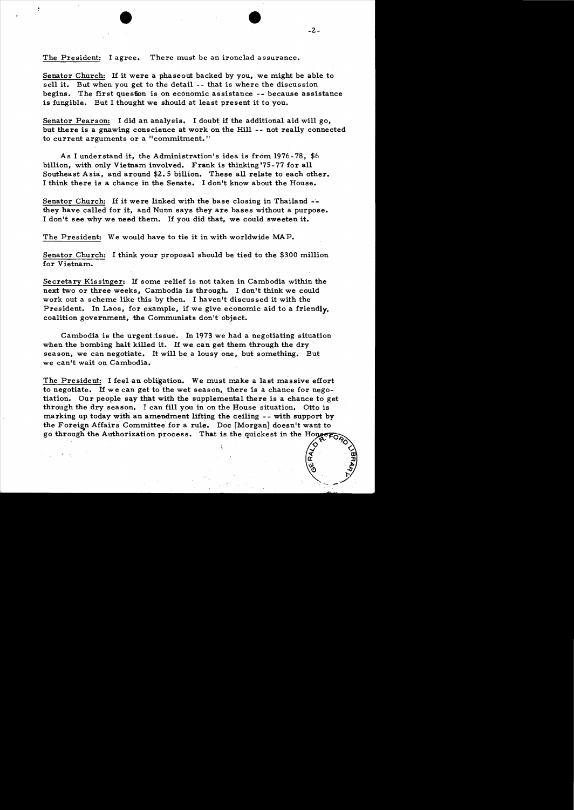Senator Church: If it were a phaseout backed by you, we might be able to sell it. But when you get to the detail -- that is where the discussion begins. The first question is on economic assistance -- because assistance is fungible. But I thought we should at least present it to you.

Senator Pearson: I did an analysis. I doubt if the additional aid will go, but there is a gnawing conscience at work on the Hill -- not really connected to current arguments or a "commitment."

As I understand it, the Administration's idea is from 1976-78, \$6 billion, with only Vietnam involved. Frank is thinking '75-77 for all Southeast Asia, and around \$2.5 billion. These all relate to each other. I think there is a chance in the Senate. I don't know about the House.

Senator Church: If it were linked with the base closing in Thailand they have called for it, and Nunn says they are bases without a purpose. I don't see why we need them. If you did that, we could sweeten it.

The President: We would have to tie it in with worldwide MAP.

Senator Church: I think your proposal should be tied to the \$300 million for Vietnam.

Secretary Kissinger: If some relief is not taken in Cambodia within the next two or three weeks, Cambodia is through. I don't think we could work out a scheme like this by then. I haven't discussed it with the President. In Laos, for example, if we give economic aid to a friendly. coalition government, the Communists don't object.

Cambodia is the urgent issue. In 1973 we had a negotiating situation when the bombing halt killed it. If we can get them through the dry season, we can negotiate. It will be a lousy one, but something. But we can't wait on Cambodia.

The President: I feel an obligation. We must make a last massive effort to negotiate. If we can get to the wet season, there is a chance for negotiation. Our people say that with the supplemental there is a chance to get through the dry season. I can fill you in on the House situation. Otto is marking up today with an amendment lifting the ceiling -- with support by the Foreign Affairs Committee for a rule. Doc [Morgan] doesn't want to go through the Authorization process. That is the quickest in the Hougero

 $\bullet$ 

 $\propto$ ~O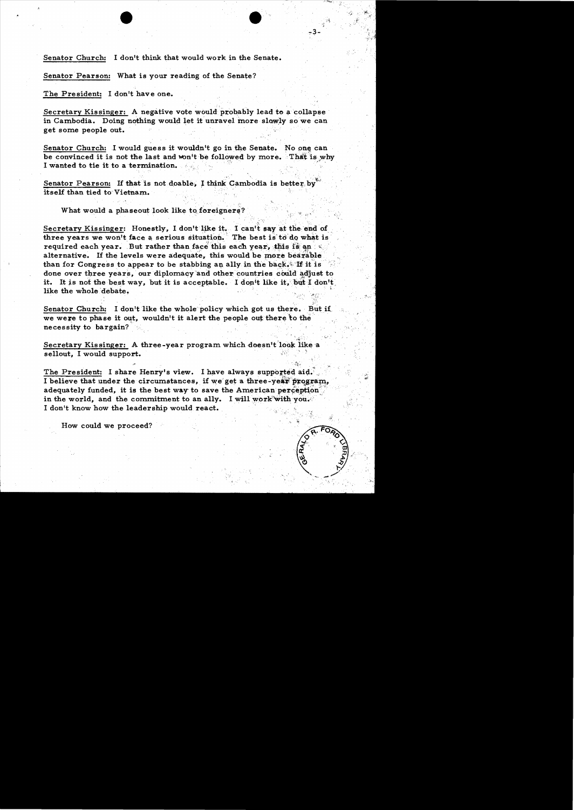Senator Church: I don't think that would work in the Senate.

Senator Pearson: What is your reading of the Senate?

The President: I don't have one.

Secretary Kissinger: A negative vote would probably lead to a collapse in Cambodia. Doing nothing would let it unravel more slowly so we can get some people out.

Senator Church: I would guess it wouldn't go in the Senate. No one can be convinced it is not the last and won't be followed by more. That is why I wanted to tie it to a termination.

Senator Pearson: If that is not doable, I think Cambodia is better by<br>itself than tied to Vietnam.

What would a phaseout look like to foreigners?

Secretary Kissinger: Honestly, I don't like it. I can't say at the end of three years we won't face a serious situation. The best is to do what is required each year. But rather than face this each year, this is an  $\ll$ . alternative. If the levels were adequate, this would be more bearable than for Congress to appear to be stabbing an ally in the back. If it is done over three years, our diplomacy and other countries could adjust to done over three years, our diplomacy and other countries could adjust to<br>it. It is not the best way, but it is acceptable. I don't like it, but I don't<br>like the whole debate.

Senator Church: I don't like the whole policy which got us there. But if, we were to phase it out, wouldn't it alert the people out there to the necessity to bargain?

Secretary Kissinger: A three-year program which doesn't look like a sellout, I would support.

The President: I share Henry's view. I have always supported aid. I believe that under the circumstances, if we get a three-year program, adequately funded, it is the best way to save the American perception<sup>1</sup> in the world, and the commitment to an ally. I will work with you. I don't know how the leadership would react.

How could we proceed?



'>:,~":

~3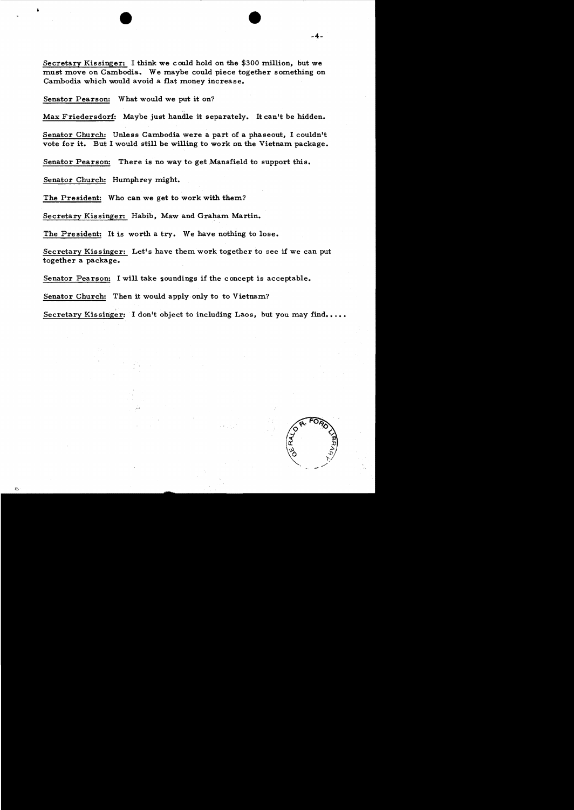Secretary Kissinger: I think we could hold on the \$300 million, but we must move on Cambodia. We maybe could piece together something on Cambodia which would avoid a flat money increase.

Senator Pearson: What would we put it on?

Max Friedersdorf: Maybe just handle it separately. It can't be hidden.

Senator Church: Unless Cambodia were a part of a phaseout, I couldn't vote for it. But I would still be willing to work on the Vietnam package.

Senator Pearson: There is no way to get Mansfield to support this.

Senator Church: Humphrey might.

The President: Who can we get to work with them?

Secretary Kissinger: Habib, Maw and Graham Martin.

The President: It is worth a try. We have nothing to lose.

Secretary Kissinger: Let's have them work together to see if we can put together a package.

Senator Pearson: I will take soundings if the concept is acceptable.

Senator Church: Then it would apply only to to Vietnam?

Secretary Kissinger: I don't object to including Laos, but you may find....

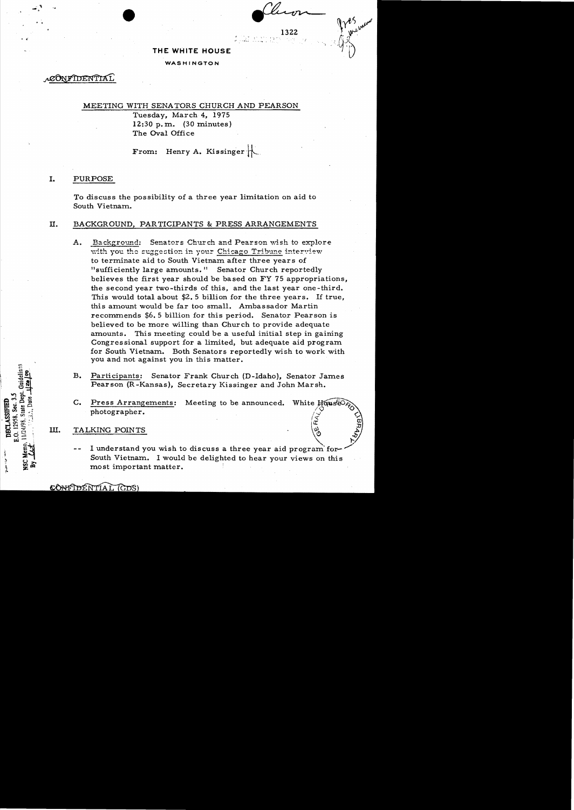### THE WHITE HOUSE

### WASHINGTON

CONFIDENTIA

### MEETING WITH SENATORS CHURCH AND PEARSON

Tuesday, March 4, 1975 12:30 p.m.  $(30 \text{ minutes})$ The Oval Office

From: Henry A. Kissinger

#### I. **PURPOSE**

To discuss the possibility of a three year limitation on aid to South Vietnam.

#### П. BACKGROUND, PARTICIPANTS & PRESS ARRANGEMENTS

- $A_{\bullet}$ Background: Senators Church and Pearson wish to explore with you the suggestion in your Chicago Tribune interview to terminate aid to South Vietnam after three years of "sufficiently large amounts." Senator Church reportedly believes the first year should be based on FY 75 appropriations, the second year two-thirds of this, and the last year one-third. This would total about \$2.5 billion for the three years. If true, this amount would be far too small. Ambassador Martin recommends \$6.5 billion for this period. Senator Pearson is believed to be more willing than Church to provide adequate amounts. This meeting could be a useful initial step in gaining Congressional support for a limited, but adequate aid program for South Vietnam. Both Senators reportedly wish to work with you and not against you in this matter.
- **B.** Participants: Senator Frank Church (D-Idaho), Senator James Pearson (R-Kansas), Secretary Kissinger and John Marsh.
- $C_{\bullet}$ Press Arrangements: Meeting to be announced. White House photographer.

#### III. TALKING POINTS

**DECLASSIFIEL** 

්

I understand you wish to discuss a three year aid program for-South Vietnam. I would be delighted to hear your views on this most important matter.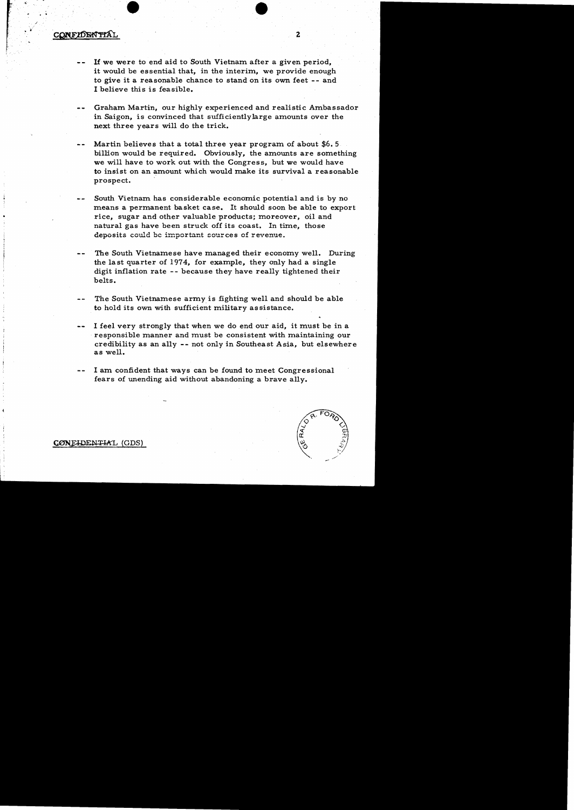# $\mathsf{CONFIDENTAL}$  2

- lfwe were to end aid to South Vietnam after a given period, it would be essential that, in the interim, we provide enough to give it a reasonable chance to stand on its own feet -- and I believe this is feasible.
- Graham Martin, our highly experienced and realistic Ambassador in Saigon, is convinced that sufficientlylarge amounts over the next three years will do the trick.
- Martin believes that a total three year program of about \$6.5 billion would be required. Obviously, the amounts are something we will have to work out with the Congress, but we would have to insist on an amount which would make its survival a reasonable prospect.
- South Vietnam has considerable economic potential and is by no means a permanent basket case. It should soon be able to export rice, sugar and other valuable products; moreover, oil and natural gas have been struck off its coast. In time, those deposits could be important sources of revenue.
- The South Vietnamese have managed their economy well. During the last quarter of 1974, for example, they only had a single digit inflation rate - - because they have really tightened their belts.
- The South Vietnamese army is fighting well and should be able to hold its own with sufficient military as sistance.
- I feel very strongly that when we do end our aid, it must be in a responsible manner and must be consistent with maintaining our credibility as an ally -- not only in Southeast Asia, but elsewhere as well.
- I am confident that ways can be found to meet Congressional fears of unending aid without abandoning a brave ally.



CONFIDENTIAL (GDS)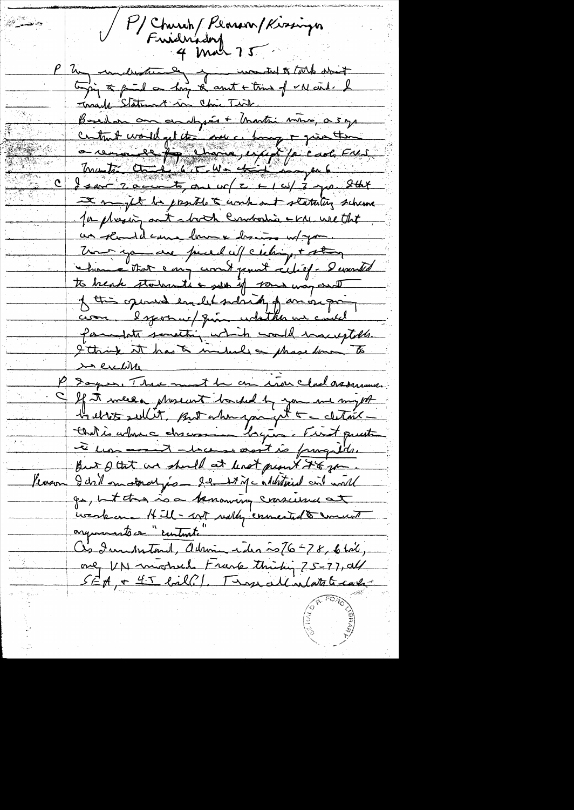P/Church/Plarson/Kissinger<br>Fuidnadory<br>4 Mar 75 Zu understande jurister worden to tothe about toging to fail on hay to count + tring of VN circl. I Torrand Statement in Chic Twie. Bouler on endrying + Unation wine, a s y I might be passible & work out statuting scheme for phreshing ant showth Cumbodia - KM. We that un readil came laune discuss un pour. The you are pured uf culing + stay chan éthat emp court paul cértif. Demoit to heak statente & set if some way and of this opened emplot side of an origin com. Isposar / qui colather un could formulate semesting which would inacceptable. I think it has a include a phase form to in excliter P Sagos, Three most be on iron chalassement If it meer phonent backed by you me myst la ette sullit, suit a hu jou get a clitait Chatrie admence chacessine lagune First quanti à un - thermal de sont is prograde But I tat we should at least people it to go Kason I dil motoral just 22 11 Mc aluntical and would go, but this is a tenancing conscience at iveskome Hill-MT rully connected to comment organisato comunication Ces Immonstand, Adrian idea ~26-78, 6 hail, only VN michel Frank thinking 75-77, all SEA, + 45 bill.). Try all intate case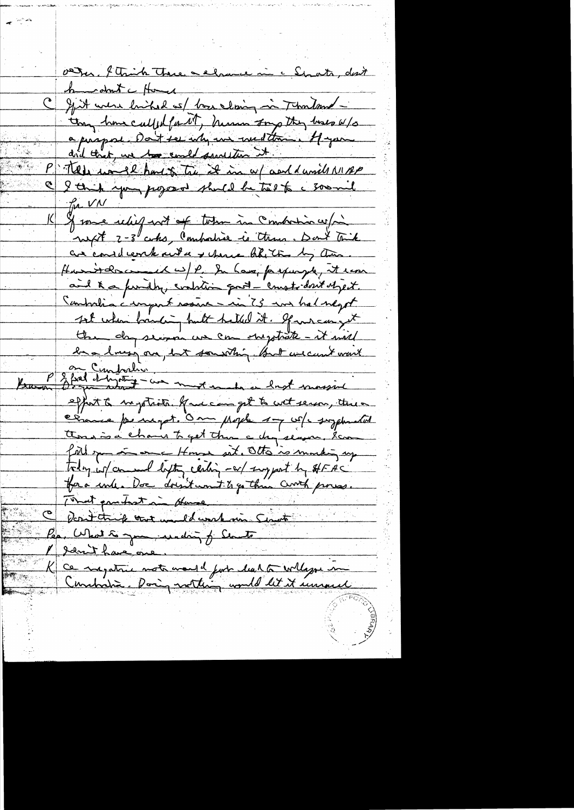ater, l'Aright Trace a chance mi a Strata, dont home don't a flower C gjutt were huiked as/ base cloing in Thousand -Ing home called for NT, human tong they have w/s a praport dont ser why we wedthe off you P Tell work how the it in a wand unit MAP I think you proposed shuld be took a soomil for VN J some rebit not of totan in Combation w/m are considerate sunt a y cheve like the by them. Hamitancement wife in have prepayed, it was and K a fundly, contain good - crustedout object. Combrelia a unport resence - in 75 mm hal negot sot when banking but helled it. Spanneur get the day second us can sheptiste - it will have longer on but something but we can't want Ban P 3 fred d'hydrix met en de lest massie effort to suption facecom get to coet server, three comme per negot. Om Mojel 17 co/s suzphrated Ansina chans to get that a chipsenson. Som fill spen in once House sit. Otto is morting up today in and lifty centing -ar support by SHFAC for a unha Doc doest won't to go three Curth proves. That pointed in Human Dont think wort well work min Signat Pea. What to you winding of Sente Idn't have one. Ce nagatrie note would just die 1 to Willige in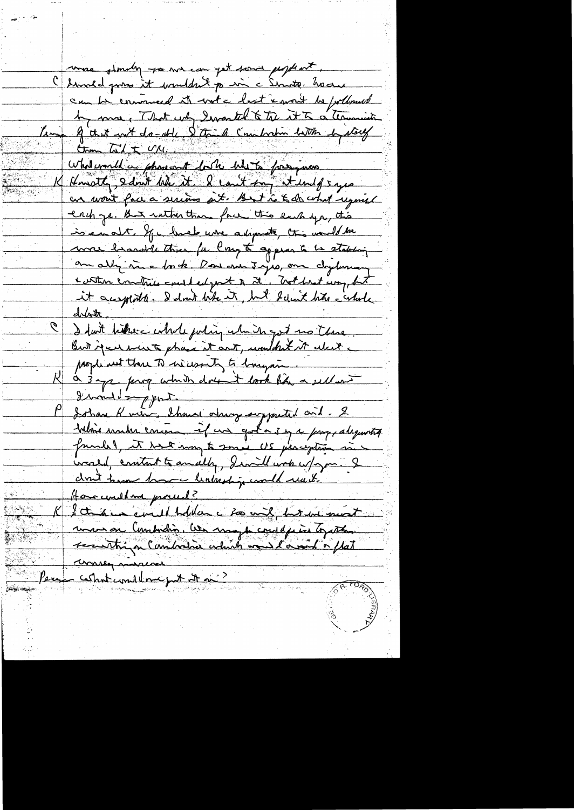where slandy you we can get some people ont. Chimald pour it wouldn't pain a Sinate, have can be comment it with last x mont be followed by more, That why Iwasted & the it to a terminate Les 9 that not do-oble 5 thinh Combration batter by stored  $\frac{GM+M}{m}$ What would a phase ant bush when for pass Knott, sant he it & count for tund says an wait face a serious git. But is to do what regimed each ze. that rather than face this each you, this is enot. If had whe adsports, this would be mre brandel than for larget appear to be stabling on alli me lorte. Doncom 3 jus, en chyloney conten contries could edge to the Trothest way but it augstats. I don't like it, but believe hits - whole  $d\mathcal{V}$ I fast hime catale julig which got no there But jear went phase it ant, wouldn't it alast a prophenent there to increasinty to hongain. a 3 mp para which dont took him a sell ont divonder part. Isthan Kning Shows always supported and . 2 taline make concern if we got a 3 mg a page alequantity friendel, it were may to small US percytion in irald, crutant to an ally, Iwill with w/ym. I chout toward home lentreship would reach Homewellme proced? mon on Combodio. We may be consequently together recentaign Composition which was lared a flat anney misures Contemplane put it ni Pers